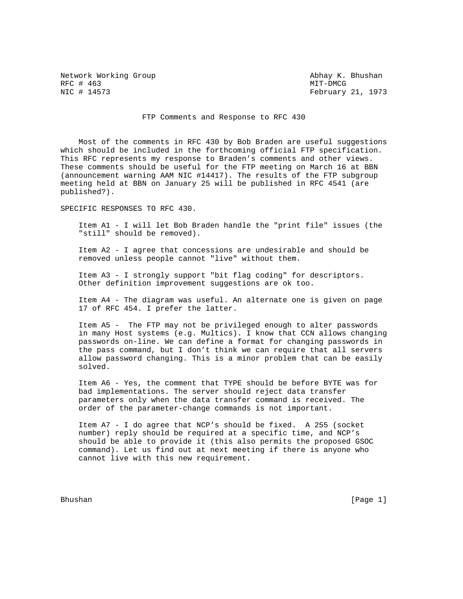Network Working Group Abhay K. Bhushan RFC # 463 MIT-DMCG

February 21, 1973

## FTP Comments and Response to RFC 430

 Most of the comments in RFC 430 by Bob Braden are useful suggestions which should be included in the forthcoming official FTP specification. This RFC represents my response to Braden's comments and other views. These comments should be useful for the FTP meeting on March 16 at BBN (announcement warning AAM NIC #14417). The results of the FTP subgroup meeting held at BBN on January 25 will be published in RFC 4541 (are published?).

SPECIFIC RESPONSES TO RFC 430.

 Item A1 - I will let Bob Braden handle the "print file" issues (the "still" should be removed).

 Item A2 - I agree that concessions are undesirable and should be removed unless people cannot "live" without them.

 Item A3 - I strongly support "bit flag coding" for descriptors. Other definition improvement suggestions are ok too.

 Item A4 - The diagram was useful. An alternate one is given on page 17 of RFC 454. I prefer the latter.

 Item A5 - The FTP may not be privileged enough to alter passwords in many Host systems (e.g. Multics). I know that CCN allows changing passwords on-line. We can define a format for changing passwords in the pass command, but I don't think we can require that all servers allow password changing. This is a minor problem that can be easily solved.

 Item A6 - Yes, the comment that TYPE should be before BYTE was for bad implementations. The server should reject data transfer parameters only when the data transfer command is received. The order of the parameter-change commands is not important.

 Item A7 - I do agree that NCP's should be fixed. A 255 (socket number) reply should be required at a specific time, and NCP's should be able to provide it (this also permits the proposed GSOC command). Let us find out at next meeting if there is anyone who cannot live with this new requirement.

Bhushan [Page 1]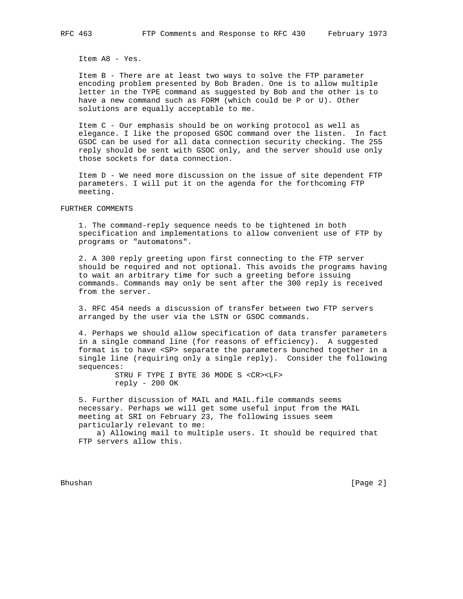Item A8 - Yes.

 Item B - There are at least two ways to solve the FTP parameter encoding problem presented by Bob Braden. One is to allow multiple letter in the TYPE command as suggested by Bob and the other is to have a new command such as FORM (which could be P or U). Other solutions are equally acceptable to me.

 Item C - Our emphasis should be on working protocol as well as elegance. I like the proposed GSOC command over the listen. In fact GSOC can be used for all data connection security checking. The 255 reply should be sent with GSOC only, and the server should use only those sockets for data connection.

 Item D - We need more discussion on the issue of site dependent FTP parameters. I will put it on the agenda for the forthcoming FTP meeting.

FURTHER COMMENTS

 1. The command-reply sequence needs to be tightened in both specification and implementations to allow convenient use of FTP by programs or "automatons".

 2. A 300 reply greeting upon first connecting to the FTP server should be required and not optional. This avoids the programs having to wait an arbitrary time for such a greeting before issuing commands. Commands may only be sent after the 300 reply is received from the server.

 3. RFC 454 needs a discussion of transfer between two FTP servers arranged by the user via the LSTN or GSOC commands.

 4. Perhaps we should allow specification of data transfer parameters in a single command line (for reasons of efficiency). A suggested format is to have <SP> separate the parameters bunched together in a single line (requiring only a single reply). Consider the following sequences:

> STRU F TYPE I BYTE 36 MODE S <CR><LF> reply - 200 OK

 5. Further discussion of MAIL and MAIL.file commands seems necessary. Perhaps we will get some useful input from the MAIL meeting at SRI on February 23, The following issues seem particularly relevant to me:

 a) Allowing mail to multiple users. It should be required that FTP servers allow this.

Bhushan [Page 2]